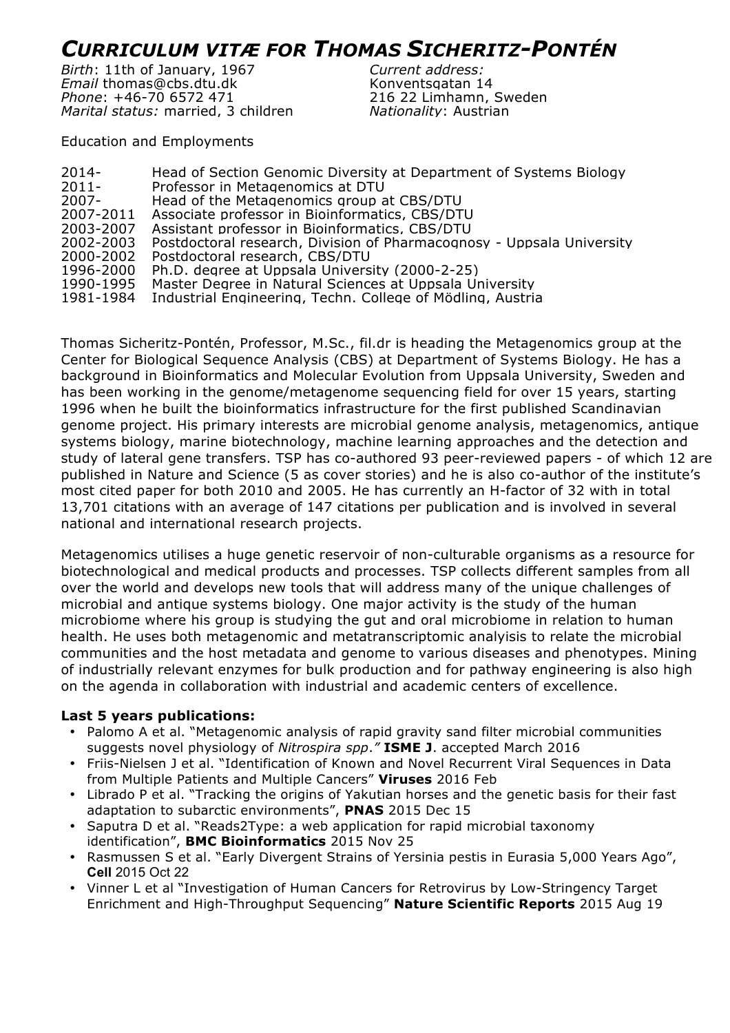## *CURRICULUM VITÆ FOR THOMAS SICHERITZ-PONTÉN*

*Birth*: 11th of January, 1967 *Current address: Email* thomas@cbs.dtu.dk Mostagatan 14 *Phone*: +46-70 6572 471 216 22 Limhamn, Sweden *Marital status:* married, 3 children *Nationality*: Austrian

Education and Employments

| $2014 -$  | Head of Section Genomic Diversity at Department of Systems Biology    |
|-----------|-----------------------------------------------------------------------|
| $2011 -$  | Professor in Metagenomics at DTU                                      |
| $2007 -$  | Head of the Metagenomics group at CBS/DTU                             |
| 2007-2011 | Associate professor in Bioinformatics, CBS/DTU                        |
| 2003-2007 | Assistant professor in Bioinformatics, CBS/DTU                        |
| 2002-2003 | Postdoctoral research, Division of Pharmacognosy - Uppsala University |
| 2000-2002 | Postdoctoral research, CBS/DTU                                        |
| 1996-2000 | Ph.D. degree at Uppsala University (2000-2-25)                        |
| 1990-1995 | Master Degree in Natural Sciences at Uppsala University               |
| 1981-1984 | Industrial Engineering, Techn. College of Mödling, Austria            |
|           |                                                                       |

Thomas Sicheritz-Pontén, Professor, M.Sc., fil.dr is heading the Metagenomics group at the Center for Biological Sequence Analysis (CBS) at Department of Systems Biology. He has a background in Bioinformatics and Molecular Evolution from Uppsala University, Sweden and has been working in the genome/metagenome sequencing field for over 15 years, starting 1996 when he built the bioinformatics infrastructure for the first published Scandinavian genome project. His primary interests are microbial genome analysis, metagenomics, antique systems biology, marine biotechnology, machine learning approaches and the detection and study of lateral gene transfers. TSP has co-authored 93 peer-reviewed papers - of which 12 are published in Nature and Science (5 as cover stories) and he is also co-author of the institute's most cited paper for both 2010 and 2005. He has currently an H-factor of 32 with in total 13,701 citations with an average of 147 citations per publication and is involved in several national and international research projects.

Metagenomics utilises a huge genetic reservoir of non-culturable organisms as a resource for biotechnological and medical products and processes. TSP collects different samples from all over the world and develops new tools that will address many of the unique challenges of microbial and antique systems biology. One major activity is the study of the human microbiome where his group is studying the gut and oral microbiome in relation to human health. He uses both metagenomic and metatranscriptomic analyisis to relate the microbial communities and the host metadata and genome to various diseases and phenotypes. Mining of industrially relevant enzymes for bulk production and for pathway engineering is also high on the agenda in collaboration with industrial and academic centers of excellence.

## **Last 5 years publications:**

- Palomo A et al. "Metagenomic analysis of rapid gravity sand filter microbial communities suggests novel physiology of *Nitrospira spp*.*"* **ISME J**. accepted March 2016
- Friis-Nielsen J et al. "Identification of Known and Novel Recurrent Viral Sequences in Data from Multiple Patients and Multiple Cancers" **Viruses** 2016 Feb
- Librado P et al. "Tracking the origins of Yakutian horses and the genetic basis for their fast adaptation to subarctic environments", **PNAS** 2015 Dec 15
- Saputra D et al. "Reads2Type: a web application for rapid microbial taxonomy identification", **BMC Bioinformatics** 2015 Nov 25
- Rasmussen S et al. "Early Divergent Strains of Yersinia pestis in Eurasia 5,000 Years Ago", **Cell** 2015 Oct 22
- Vinner L et al "Investigation of Human Cancers for Retrovirus by Low-Stringency Target Enrichment and High-Throughput Sequencing" **Nature Scientific Reports** 2015 Aug 19